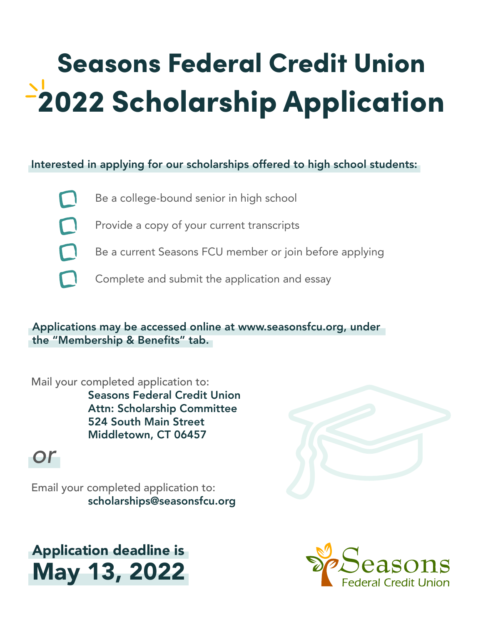# Seasons Federal Credit Union 2022 Scholarship Application

## Interested in applying for our scholarships offered to high school students:

- 
- Be a college-bound senior in high school
- 
- Provide a copy of your current transcripts
- $\Box$
- Be a current Seasons FCU member or join before applying
- Complete and submit the application and essay

Applications may be accessed online at www.seasonsfcu.org, under the "Membership & Benefits" tab.

### Mail your completed application to:

 Seasons Federal Credit Union Attn: Scholarship Committee 524 South Main Street Middletown, CT 06457

## *or*

Email your completed application to: scholarships@seasonsfcu.org

# Application deadline is May 13, 2022



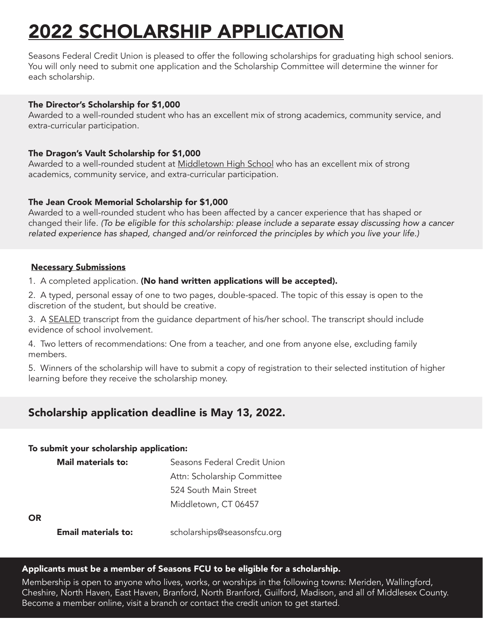# 2022 SCHOLARSHIP APPLICATION

Seasons Federal Credit Union is pleased to offer the following scholarships for graduating high school seniors. You will only need to submit one application and the Scholarship Committee will determine the winner for each scholarship.

#### The Director's Scholarship for \$1,000

Awarded to a well-rounded student who has an excellent mix of strong academics, community service, and extra-curricular participation.

#### The Dragon's Vault Scholarship for \$1,000

Awarded to a well-rounded student at Middletown High School who has an excellent mix of strong academics, community service, and extra-curricular participation.

#### The Jean Crook Memorial Scholarship for \$1,000

Awarded to a well-rounded student who has been affected by a cancer experience that has shaped or changed their life. *(To be eligible for this scholarship: please include a separate essay discussing how a cancer related experience has shaped, changed and/or reinforced the principles by which you live your life.)*

#### Necessary Submissions

1. A completed application. (No hand written applications will be accepted).

2. A typed, personal essay of one to two pages, double-spaced. The topic of this essay is open to the discretion of the student, but should be creative.

3. A SEALED transcript from the guidance department of his/her school. The transcript should include evidence of school involvement.

4. Two letters of recommendations: One from a teacher, and one from anyone else, excluding family members.

5. Winners of the scholarship will have to submit a copy of registration to their selected institution of higher learning before they receive the scholarship money.

## Scholarship application deadline is May 13, 2022.

#### To submit your scholarship application:

| Mail materials to: | Seasons Federal Credit Union |
|--------------------|------------------------------|
|                    | Attn: Scholarship Committee  |
|                    | 524 South Main Street        |
|                    | Middletown, CT 06457         |
| OR                 |                              |

#### OR

**Email materials to:** scholarships@seasonsfcu.org

#### Applicants must be a member of Seasons FCU to be eligible for a scholarship.

Membership is open to anyone who lives, works, or worships in the following towns: Meriden, Wallingford, Cheshire, North Haven, East Haven, Branford, North Branford, Guilford, Madison, and all of Middlesex County. Become a member online, visit a branch or contact the credit union to get started.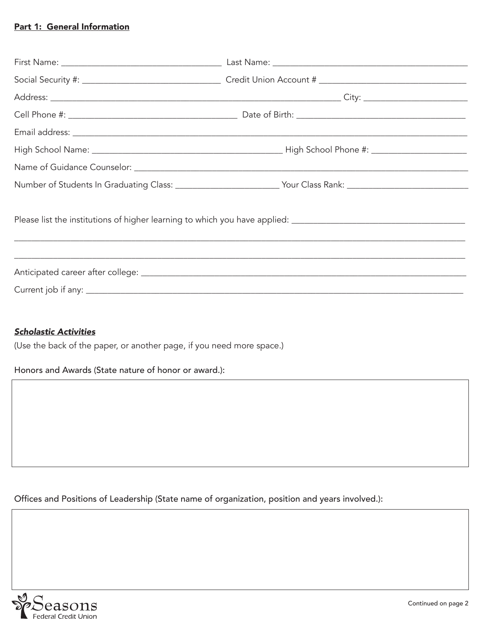#### Part 1: General Information

|                                                                                                                | Number of Students In Graduating Class: ___________________________Your Class Rank: __________________________ |  |
|----------------------------------------------------------------------------------------------------------------|----------------------------------------------------------------------------------------------------------------|--|
| Please list the institutions of higher learning to which you have applied: ___________________________________ |                                                                                                                |  |
|                                                                                                                |                                                                                                                |  |

#### *Scholastic Activities*

(Use the back of the paper, or another page, if you need more space.)

Honors and Awards (State nature of honor or award.):

Offices and Positions of Leadership (State name of organization, position and years involved.):

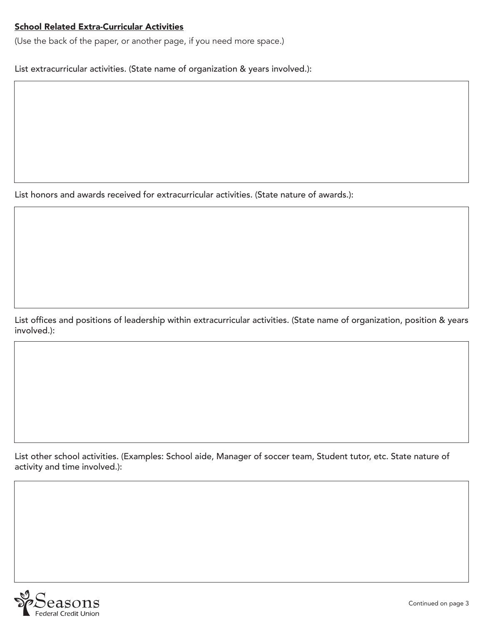#### School Related Extra-Curricular Activities

(Use the back of the paper, or another page, if you need more space.)

List extracurricular activities. (State name of organization & years involved.):

List honors and awards received for extracurricular activities. (State nature of awards.):

List offices and positions of leadership within extracurricular activities. (State name of organization, position & years involved.):

List other school activities. (Examples: School aide, Manager of soccer team, Student tutor, etc. State nature of activity and time involved.):